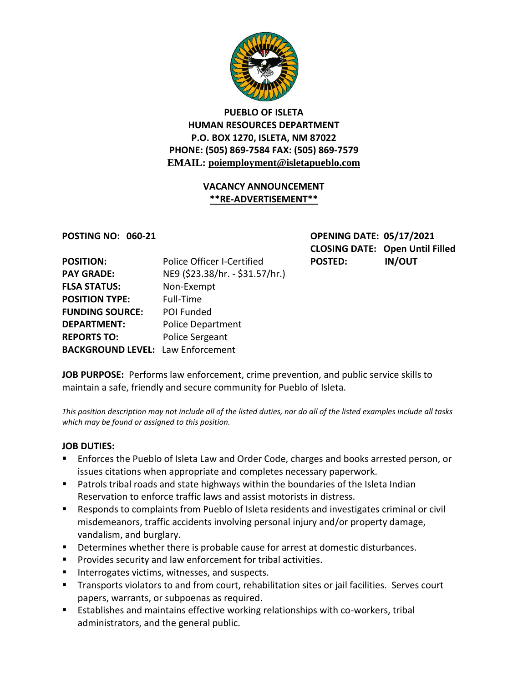

# **PUEBLO OF ISLETA HUMAN RESOURCES DEPARTMENT P.O. BOX 1270, ISLETA, NM 87022 PHONE: (505) 869-7584 FAX: (505) 869-7579 EMAIL: poiemployment@isletapueblo.com**

## **VACANCY ANNOUNCEMENT \*\*RE-ADVERTISEMENT\*\***

**POSTING NO: 060-21 OPENING DATE: 05/17/2021 CLOSING DATE: Open Until Filled**

| <b>POSITION:</b>                         | Police Officer I-Certified      | <b>POSTED:</b> | <b>IN/OUT</b> |
|------------------------------------------|---------------------------------|----------------|---------------|
| <b>PAY GRADE:</b>                        | NE9 (\$23.38/hr. - \$31.57/hr.) |                |               |
| <b>FLSA STATUS:</b>                      | Non-Exempt                      |                |               |
| <b>POSITION TYPE:</b>                    | Full-Time                       |                |               |
| <b>FUNDING SOURCE:</b>                   | POI Funded                      |                |               |
| <b>DEPARTMENT:</b>                       | <b>Police Department</b>        |                |               |
| <b>REPORTS TO:</b>                       | Police Sergeant                 |                |               |
| <b>BACKGROUND LEVEL: Law Enforcement</b> |                                 |                |               |

**JOB PURPOSE:** Performs law enforcement, crime prevention, and public service skills to maintain a safe, friendly and secure community for Pueblo of Isleta.

*This position description may not include all of the listed duties, nor do all of the listed examples include all tasks which may be found or assigned to this position.*

#### **JOB DUTIES:**

- Enforces the Pueblo of Isleta Law and Order Code, charges and books arrested person, or issues citations when appropriate and completes necessary paperwork.
- Patrols tribal roads and state highways within the boundaries of the Isleta Indian Reservation to enforce traffic laws and assist motorists in distress.
- Responds to complaints from Pueblo of Isleta residents and investigates criminal or civil misdemeanors, traffic accidents involving personal injury and/or property damage, vandalism, and burglary.
- **Determines whether there is probable cause for arrest at domestic disturbances.**
- **Provides security and law enforcement for tribal activities.**
- **Interrogates victims, witnesses, and suspects.**
- **Transports violators to and from court, rehabilitation sites or jail facilities. Serves court** papers, warrants, or subpoenas as required.
- Establishes and maintains effective working relationships with co-workers, tribal administrators, and the general public.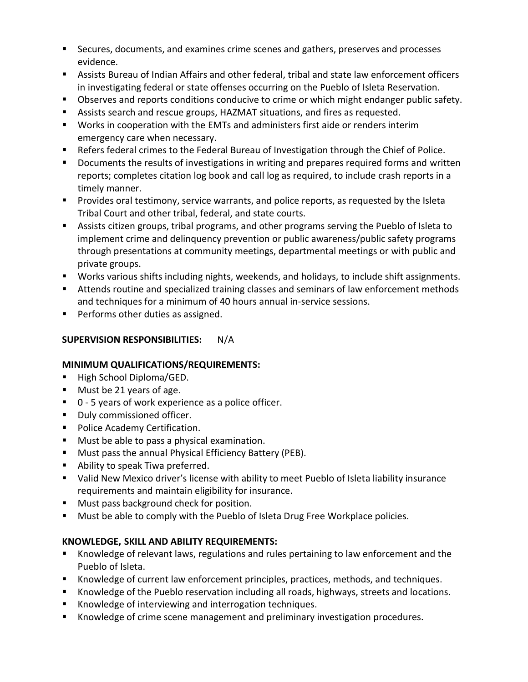- Secures, documents, and examines crime scenes and gathers, preserves and processes evidence.
- Assists Bureau of Indian Affairs and other federal, tribal and state law enforcement officers in investigating federal or state offenses occurring on the Pueblo of Isleta Reservation.
- Observes and reports conditions conducive to crime or which might endanger public safety.
- Assists search and rescue groups, HAZMAT situations, and fires as requested.
- Works in cooperation with the EMTs and administers first aide or renders interim emergency care when necessary.
- Refers federal crimes to the Federal Bureau of Investigation through the Chief of Police.
- **Documents the results of investigations in writing and prepares required forms and written** reports; completes citation log book and call log as required, to include crash reports in a timely manner.
- Provides oral testimony, service warrants, and police reports, as requested by the Isleta Tribal Court and other tribal, federal, and state courts.
- Assists citizen groups, tribal programs, and other programs serving the Pueblo of Isleta to implement crime and delinquency prevention or public awareness/public safety programs through presentations at community meetings, departmental meetings or with public and private groups.
- Works various shifts including nights, weekends, and holidays, to include shift assignments.
- Attends routine and specialized training classes and seminars of law enforcement methods and techniques for a minimum of 40 hours annual in-service sessions.
- **Performs other duties as assigned.**

## **SUPERVISION RESPONSIBILITIES:** N/A

## **MINIMUM QUALIFICATIONS/REQUIREMENTS:**

- High School Diploma/GED.
- **Must be 21 years of age.**
- 0 5 years of work experience as a police officer.
- **Duly commissioned officer.**
- **Police Academy Certification.**
- **Must be able to pass a physical examination.**
- **Must pass the annual Physical Efficiency Battery (PEB).**
- **Ability to speak Tiwa preferred.**
- Valid New Mexico driver's license with ability to meet Pueblo of Isleta liability insurance requirements and maintain eligibility for insurance.
- **Must pass background check for position.**
- **Must be able to comply with the Pueblo of Isleta Drug Free Workplace policies.**

## **KNOWLEDGE, SKILL AND ABILITY REQUIREMENTS:**

- Knowledge of relevant laws, regulations and rules pertaining to law enforcement and the Pueblo of Isleta.
- Knowledge of current law enforcement principles, practices, methods, and techniques.
- Knowledge of the Pueblo reservation including all roads, highways, streets and locations.
- Knowledge of interviewing and interrogation techniques.
- Knowledge of crime scene management and preliminary investigation procedures.